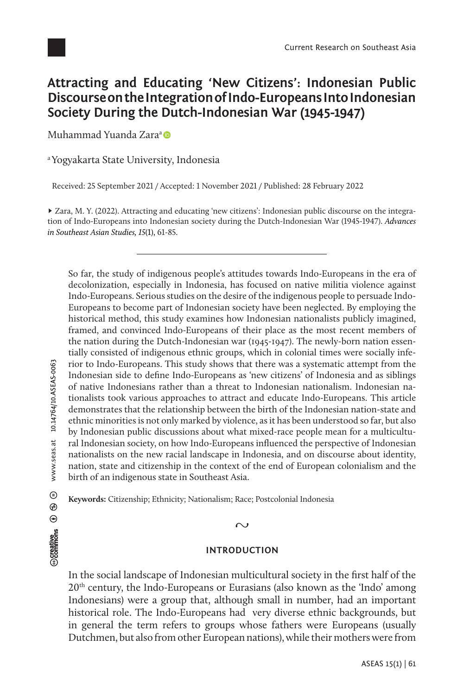

# **Attracting and Educating 'New Citizens': Indonesian Public Discourse on the Integration of Indo-Europeans Into Indonesian Society During the Dutch-Indonesian War (1945-1947)**

Muh[a](https://orcid.org/0000-0002-9278-9410)mmad Yuanda Zara<sup>a</sup>

a Yogyakarta State University, Indonesia

Received: 25 September 2021 / Accepted: 1 November 2021 / Published: 28 February 2022

► Zara, M. Y. (2022). Attracting and educating 'new citizens': Indonesian public discourse on the integration of Indo-Europeans into Indonesian society during the Dutch-Indonesian War (1945-1947). *Advances in Southeast Asian Studies, 15*(1), 61-85.

So far, the study of indigenous people's attitudes towards Indo-Europeans in the era of decolonization, especially in Indonesia, has focused on native militia violence against Indo-Europeans. Serious studies on the desire of the indigenous people to persuade Indo-Europeans to become part of Indonesian society have been neglected. By employing the historical method, this study examines how Indonesian nationalists publicly imagined, framed, and convinced Indo-Europeans of their place as the most recent members of the nation during the Dutch-Indonesian war (1945-1947). The newly-born nation essentially consisted of indigenous ethnic groups, which in colonial times were socially inferior to Indo-Europeans. This study shows that there was a systematic attempt from the Indonesian side to define Indo-Europeans as 'new citizens' of Indonesia and as siblings of native Indonesians rather than a threat to Indonesian nationalism. Indonesian nationalists took various approaches to attract and educate Indo-Europeans. This article demonstrates that the relationship between the birth of the Indonesian nation-state and ethnic minorities is not only marked by violence, as it has been understood so far, but also by Indonesian public discussions about what mixed-race people mean for a multicultural Indonesian society, on how Indo-Europeans influenced the perspective of Indonesian nationalists on the new racial landscape in Indonesia, and on discourse about identity, nation, state and citizenship in the context of the end of European colonialism and the birth of an indigenous state in Southeast Asia.

**Keywords:** Citizenship; Ethnicity; Nationalism; Race; Postcolonial Indonesia

### $\sim$

## **INTRODUCTION**

In the social landscape of Indonesian multicultural society in the first half of the  $20<sup>th</sup>$  century, the Indo-Europeans or Eurasians (also known as the 'Indo' among Indonesians) were a group that, although small in number, had an important historical role. The Indo-Europeans had very diverse ethnic backgrounds, but in general the term refers to groups whose fathers were Europeans (usually Dutchmen, but also from other European nations), while their mothers were from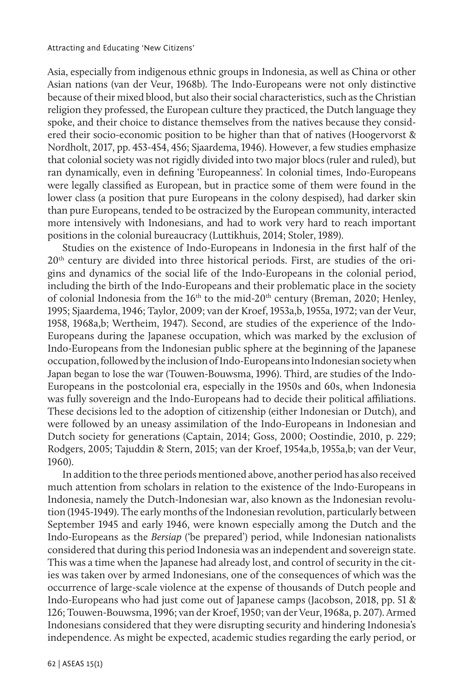Asia, especially from indigenous ethnic groups in Indonesia, as well as China or other Asian nations (van der Veur, 1968b). The Indo-Europeans were not only distinctive because of their mixed blood, but also their social characteristics, such as the Christian religion they professed, the European culture they practiced, the Dutch language they spoke, and their choice to distance themselves from the natives because they considered their socio-economic position to be higher than that of natives (Hoogervorst & Nordholt, 2017, pp. 453-454, 456; Sjaardema, 1946). However, a few studies emphasize that colonial society was not rigidly divided into two major blocs (ruler and ruled), but ran dynamically, even in defining 'Europeanness'. In colonial times, Indo-Europeans were legally classified as European, but in practice some of them were found in the lower class (a position that pure Europeans in the colony despised), had darker skin than pure Europeans, tended to be ostracized by the European community, interacted more intensively with Indonesians, and had to work very hard to reach important positions in the colonial bureaucracy (Luttikhuis, 2014; Stoler, 1989).

Studies on the existence of Indo-Europeans in Indonesia in the first half of the  $20<sup>th</sup>$  century are divided into three historical periods. First, are studies of the origins and dynamics of the social life of the Indo-Europeans in the colonial period, including the birth of the Indo-Europeans and their problematic place in the society of colonial Indonesia from the  $16<sup>th</sup>$  to the mid-20<sup>th</sup> century (Breman, 2020; Henley, 1995; Sjaardema, 1946; Taylor, 2009; van der Kroef, 1953a,b, 1955a, 1972; van der Veur, 1958, 1968a,b; Wertheim, 1947). Second, are studies of the experience of the Indo-Europeans during the Japanese occupation, which was marked by the exclusion of Indo-Europeans from the Indonesian public sphere at the beginning of the Japanese occupation, followed by the inclusion of Indo-Europeans into Indonesian society when Japan began to lose the war (Touwen-Bouwsma, 1996). Third, are studies of the Indo-Europeans in the postcolonial era, especially in the 1950s and 60s, when Indonesia was fully sovereign and the Indo-Europeans had to decide their political affiliations. These decisions led to the adoption of citizenship (either Indonesian or Dutch), and were followed by an uneasy assimilation of the Indo-Europeans in Indonesian and Dutch society for generations (Captain, 2014; Goss, 2000; Oostindie, 2010, p. 229; Rodgers, 2005; Tajuddin & Stern, 2015; van der Kroef, 1954a,b, 1955a,b; van der Veur, 1960).

In addition to the three periods mentioned above, another period has also received much attention from scholars in relation to the existence of the Indo-Europeans in Indonesia, namely the Dutch-Indonesian war, also known as the Indonesian revolution (1945-1949). The early months of the Indonesian revolution, particularly between September 1945 and early 1946, were known especially among the Dutch and the Indo-Europeans as the *Bersiap* ('be prepared') period, while Indonesian nationalists considered that during this period Indonesia was an independent and sovereign state. This was a time when the Japanese had already lost, and control of security in the cities was taken over by armed Indonesians, one of the consequences of which was the occurrence of large-scale violence at the expense of thousands of Dutch people and Indo-Europeans who had just come out of Japanese camps (Jacobson, 2018, pp. 51 & 126; Touwen-Bouwsma, 1996; van der Kroef, 1950; van der Veur, 1968a, p. 207). Armed Indonesians considered that they were disrupting security and hindering Indonesia's independence. As might be expected, academic studies regarding the early period, or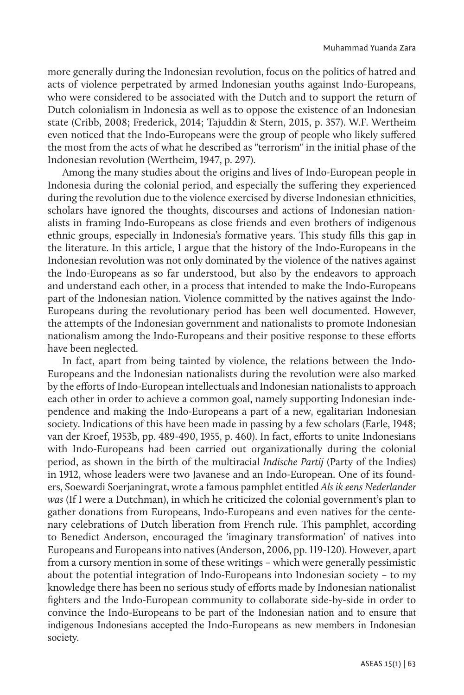more generally during the Indonesian revolution, focus on the politics of hatred and acts of violence perpetrated by armed Indonesian youths against Indo-Europeans, who were considered to be associated with the Dutch and to support the return of Dutch colonialism in Indonesia as well as to oppose the existence of an Indonesian state (Cribb, 2008; Frederick, 2014; Tajuddin & Stern, 2015, p. 357). W.F. Wertheim even noticed that the Indo-Europeans were the group of people who likely suffered the most from the acts of what he described as "terrorism" in the initial phase of the Indonesian revolution (Wertheim, 1947, p. 297).

Among the many studies about the origins and lives of Indo-European people in Indonesia during the colonial period, and especially the suffering they experienced during the revolution due to the violence exercised by diverse Indonesian ethnicities, scholars have ignored the thoughts, discourses and actions of Indonesian nationalists in framing Indo-Europeans as close friends and even brothers of indigenous ethnic groups, especially in Indonesia's formative years. This study fills this gap in the literature. In this article, I argue that the history of the Indo-Europeans in the Indonesian revolution was not only dominated by the violence of the natives against the Indo-Europeans as so far understood, but also by the endeavors to approach and understand each other, in a process that intended to make the Indo-Europeans part of the Indonesian nation. Violence committed by the natives against the Indo-Europeans during the revolutionary period has been well documented. However, the attempts of the Indonesian government and nationalists to promote Indonesian nationalism among the Indo-Europeans and their positive response to these efforts have been neglected.

In fact, apart from being tainted by violence, the relations between the Indo-Europeans and the Indonesian nationalists during the revolution were also marked by the efforts of Indo-European intellectuals and Indonesian nationalists to approach each other in order to achieve a common goal, namely supporting Indonesian independence and making the Indo-Europeans a part of a new, egalitarian Indonesian society. Indications of this have been made in passing by a few scholars (Earle, 1948; van der Kroef, 1953b, pp. 489-490, 1955, p. 460). In fact, efforts to unite Indonesians with Indo-Europeans had been carried out organizationally during the colonial period, as shown in the birth of the multiracial *Indische Partij* (Party of the Indies) in 1912, whose leaders were two Javanese and an Indo-European. One of its founders, Soewardi Soerjaningrat, wrote a famous pamphlet entitled *Als ik eens Nederlander was* (If I were a Dutchman), in which he criticized the colonial government's plan to gather donations from Europeans, Indo-Europeans and even natives for the centenary celebrations of Dutch liberation from French rule. This pamphlet, according to Benedict Anderson, encouraged the 'imaginary transformation' of natives into Europeans and Europeans into natives (Anderson, 2006, pp. 119-120). However, apart from a cursory mention in some of these writings – which were generally pessimistic about the potential integration of Indo-Europeans into Indonesian society – to my knowledge there has been no serious study of efforts made by Indonesian nationalist fighters and the Indo-European community to collaborate side-by-side in order to convince the Indo-Europeans to be part of the Indonesian nation and to ensure that indigenous Indonesians accepted the Indo-Europeans as new members in Indonesian society.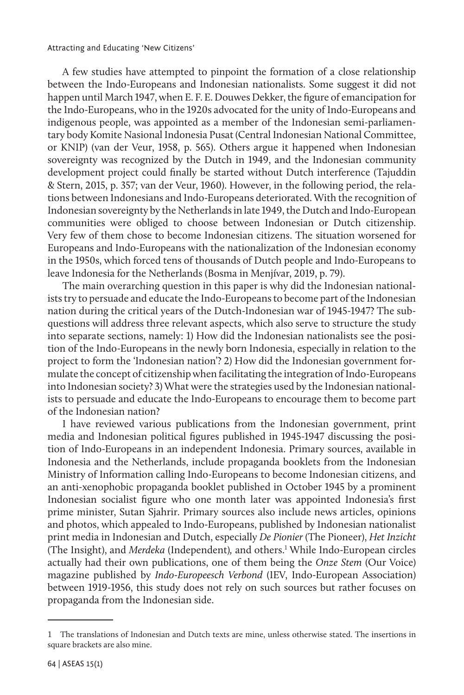#### Attracting and Educating 'New Citizens'

A few studies have attempted to pinpoint the formation of a close relationship between the Indo-Europeans and Indonesian nationalists. Some suggest it did not happen until March 1947, when E. F. E. Douwes Dekker, the figure of emancipation for the Indo-Europeans, who in the 1920s advocated for the unity of Indo-Europeans and indigenous people, was appointed as a member of the Indonesian semi-parliamentary body Komite Nasional Indonesia Pusat (Central Indonesian National Committee, or KNIP) (van der Veur, 1958, p. 565). Others argue it happened when Indonesian sovereignty was recognized by the Dutch in 1949, and the Indonesian community development project could finally be started without Dutch interference (Tajuddin & Stern, 2015, p. 357; van der Veur, 1960). However, in the following period, the relations between Indonesians and Indo-Europeans deteriorated. With the recognition of Indonesian sovereignty by the Netherlands in late 1949, the Dutch and Indo-European communities were obliged to choose between Indonesian or Dutch citizenship. Very few of them chose to become Indonesian citizens. The situation worsened for Europeans and Indo-Europeans with the nationalization of the Indonesian economy in the 1950s, which forced tens of thousands of Dutch people and Indo-Europeans to leave Indonesia for the Netherlands (Bosma in Menjívar, 2019, p. 79).

The main overarching question in this paper is why did the Indonesian nationalists try to persuade and educate the Indo-Europeans to become part of the Indonesian nation during the critical years of the Dutch-Indonesian war of 1945-1947? The subquestions will address three relevant aspects, which also serve to structure the study into separate sections, namely: 1) How did the Indonesian nationalists see the position of the Indo-Europeans in the newly born Indonesia, especially in relation to the project to form the 'Indonesian nation'? 2) How did the Indonesian government formulate the concept of citizenship when facilitating the integration of Indo-Europeans into Indonesian society? 3) What were the strategies used by the Indonesian nationalists to persuade and educate the Indo-Europeans to encourage them to become part of the Indonesian nation?

I have reviewed various publications from the Indonesian government, print media and Indonesian political figures published in 1945-1947 discussing the position of Indo-Europeans in an independent Indonesia. Primary sources, available in Indonesia and the Netherlands, include propaganda booklets from the Indonesian Ministry of Information calling Indo-Europeans to become Indonesian citizens, and an anti-xenophobic propaganda booklet published in October 1945 by a prominent Indonesian socialist figure who one month later was appointed Indonesia's first prime minister, Sutan Sjahrir. Primary sources also include news articles, opinions and photos, which appealed to Indo-Europeans, published by Indonesian nationalist print media in Indonesian and Dutch, especially *De Pionier* (The Pioneer), *Het Inzicht*  (The Insight), and *Merdeka* (Independent)*,* and others.1 While Indo-European circles actually had their own publications, one of them being the *Onze Stem* (Our Voice) magazine published by *Indo-Europeesch Verbond* (IEV, Indo-European Association) between 1919-1956, this study does not rely on such sources but rather focuses on propaganda from the Indonesian side.

<sup>1</sup> The translations of Indonesian and Dutch texts are mine, unless otherwise stated. The insertions in square brackets are also mine.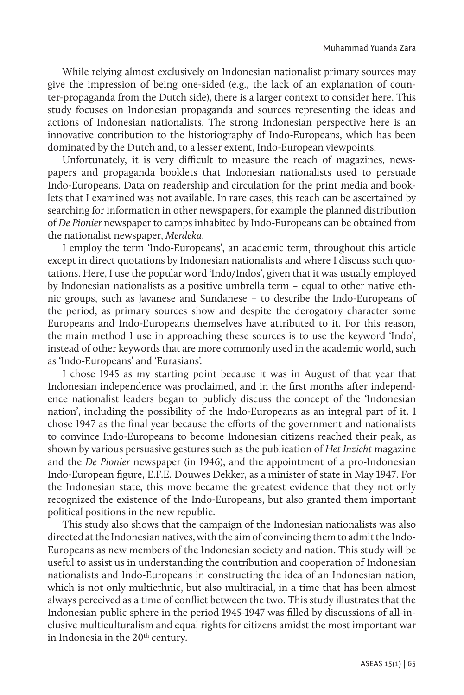While relying almost exclusively on Indonesian nationalist primary sources may give the impression of being one-sided (e.g., the lack of an explanation of counter-propaganda from the Dutch side), there is a larger context to consider here. This study focuses on Indonesian propaganda and sources representing the ideas and actions of Indonesian nationalists. The strong Indonesian perspective here is an innovative contribution to the historiography of Indo-Europeans, which has been dominated by the Dutch and, to a lesser extent, Indo-European viewpoints.

Unfortunately, it is very difficult to measure the reach of magazines, newspapers and propaganda booklets that Indonesian nationalists used to persuade Indo-Europeans. Data on readership and circulation for the print media and booklets that I examined was not available. In rare cases, this reach can be ascertained by searching for information in other newspapers, for example the planned distribution of *De Pionier* newspaper to camps inhabited by Indo-Europeans can be obtained from the nationalist newspaper, *Merdeka*.

I employ the term 'Indo-Europeans', an academic term, throughout this article except in direct quotations by Indonesian nationalists and where I discuss such quotations. Here, I use the popular word 'Indo/Indos', given that it was usually employed by Indonesian nationalists as a positive umbrella term – equal to other native ethnic groups, such as Javanese and Sundanese – to describe the Indo-Europeans of the period, as primary sources show and despite the derogatory character some Europeans and Indo-Europeans themselves have attributed to it. For this reason, the main method I use in approaching these sources is to use the keyword 'Indo', instead of other keywords that are more commonly used in the academic world, such as 'Indo-Europeans' and 'Eurasians'.

I chose 1945 as my starting point because it was in August of that year that Indonesian independence was proclaimed, and in the first months after independence nationalist leaders began to publicly discuss the concept of the 'Indonesian nation', including the possibility of the Indo-Europeans as an integral part of it. I chose 1947 as the final year because the efforts of the government and nationalists to convince Indo-Europeans to become Indonesian citizens reached their peak, as shown by various persuasive gestures such as the publication of *Het Inzicht* magazine and the *De Pionier* newspaper (in 1946), and the appointment of a pro-Indonesian Indo-European figure, E.F.E. Douwes Dekker, as a minister of state in May 1947. For the Indonesian state, this move became the greatest evidence that they not only recognized the existence of the Indo-Europeans, but also granted them important political positions in the new republic.

This study also shows that the campaign of the Indonesian nationalists was also directed at the Indonesian natives, with the aim of convincing them to admit the Indo-Europeans as new members of the Indonesian society and nation. This study will be useful to assist us in understanding the contribution and cooperation of Indonesian nationalists and Indo-Europeans in constructing the idea of an Indonesian nation, which is not only multiethnic, but also multiracial, in a time that has been almost always perceived as a time of conflict between the two. This study illustrates that the Indonesian public sphere in the period 1945-1947 was filled by discussions of all-inclusive multiculturalism and equal rights for citizens amidst the most important war in Indonesia in the 20<sup>th</sup> century.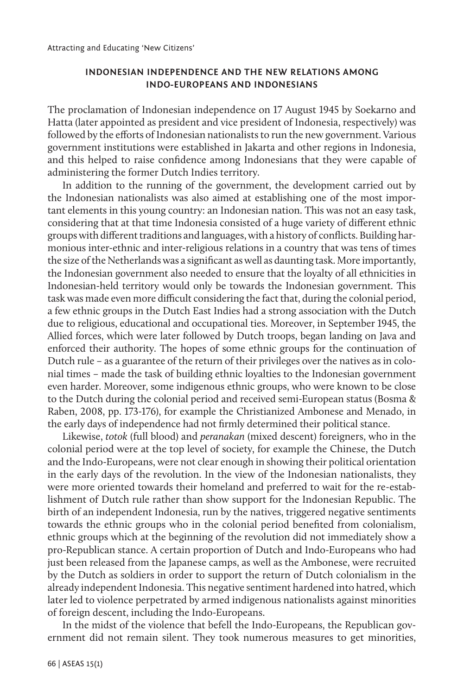## **INDONESIAN INDEPENDENCE AND THE NEW RELATIONS AMONG INDO-EUROPEANS AND INDONESIANS**

The proclamation of Indonesian independence on 17 August 1945 by Soekarno and Hatta (later appointed as president and vice president of Indonesia, respectively) was followed by the efforts of Indonesian nationalists to run the new government. Various government institutions were established in Jakarta and other regions in Indonesia, and this helped to raise confidence among Indonesians that they were capable of administering the former Dutch Indies territory.

In addition to the running of the government, the development carried out by the Indonesian nationalists was also aimed at establishing one of the most important elements in this young country: an Indonesian nation. This was not an easy task, considering that at that time Indonesia consisted of a huge variety of different ethnic groups with different traditions and languages, with a history of conflicts. Building harmonious inter-ethnic and inter-religious relations in a country that was tens of times the size of the Netherlands was a significant as well as daunting task. More importantly, the Indonesian government also needed to ensure that the loyalty of all ethnicities in Indonesian-held territory would only be towards the Indonesian government. This task was made even more difficult considering the fact that, during the colonial period, a few ethnic groups in the Dutch East Indies had a strong association with the Dutch due to religious, educational and occupational ties. Moreover, in September 1945, the Allied forces, which were later followed by Dutch troops, began landing on Java and enforced their authority. The hopes of some ethnic groups for the continuation of Dutch rule – as a guarantee of the return of their privileges over the natives as in colonial times – made the task of building ethnic loyalties to the Indonesian government even harder. Moreover, some indigenous ethnic groups, who were known to be close to the Dutch during the colonial period and received semi-European status (Bosma & Raben, 2008, pp. 173-176), for example the Christianized Ambonese and Menado, in the early days of independence had not firmly determined their political stance.

Likewise, *totok* (full blood) and *peranakan* (mixed descent) foreigners, who in the colonial period were at the top level of society, for example the Chinese, the Dutch and the Indo-Europeans, were not clear enough in showing their political orientation in the early days of the revolution. In the view of the Indonesian nationalists, they were more oriented towards their homeland and preferred to wait for the re-establishment of Dutch rule rather than show support for the Indonesian Republic. The birth of an independent Indonesia, run by the natives, triggered negative sentiments towards the ethnic groups who in the colonial period benefited from colonialism, ethnic groups which at the beginning of the revolution did not immediately show a pro-Republican stance. A certain proportion of Dutch and Indo-Europeans who had just been released from the Japanese camps, as well as the Ambonese, were recruited by the Dutch as soldiers in order to support the return of Dutch colonialism in the already independent Indonesia. This negative sentiment hardened into hatred, which later led to violence perpetrated by armed indigenous nationalists against minorities of foreign descent, including the Indo-Europeans.

In the midst of the violence that befell the Indo-Europeans, the Republican government did not remain silent. They took numerous measures to get minorities,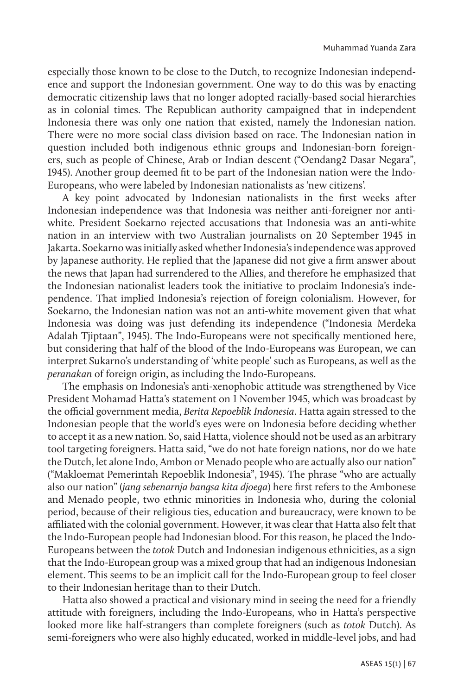especially those known to be close to the Dutch, to recognize Indonesian independence and support the Indonesian government. One way to do this was by enacting democratic citizenship laws that no longer adopted racially-based social hierarchies as in colonial times. The Republican authority campaigned that in independent Indonesia there was only one nation that existed, namely the Indonesian nation. There were no more social class division based on race. The Indonesian nation in question included both indigenous ethnic groups and Indonesian-born foreigners, such as people of Chinese, Arab or Indian descent ("Oendang2 Dasar Negara", 1945). Another group deemed fit to be part of the Indonesian nation were the Indo-Europeans, who were labeled by Indonesian nationalists as 'new citizens'.

A key point advocated by Indonesian nationalists in the first weeks after Indonesian independence was that Indonesia was neither anti-foreigner nor antiwhite. President Soekarno rejected accusations that Indonesia was an anti-white nation in an interview with two Australian journalists on 20 September 1945 in Jakarta. Soekarno was initially asked whether Indonesia's independence was approved by Japanese authority. He replied that the Japanese did not give a firm answer about the news that Japan had surrendered to the Allies, and therefore he emphasized that the Indonesian nationalist leaders took the initiative to proclaim Indonesia's independence. That implied Indonesia's rejection of foreign colonialism. However, for Soekarno, the Indonesian nation was not an anti-white movement given that what Indonesia was doing was just defending its independence ("Indonesia Merdeka Adalah Tjiptaan", 1945). The Indo-Europeans were not specifically mentioned here, but considering that half of the blood of the Indo-Europeans was European, we can interpret Sukarno's understanding of 'white people' such as Europeans, as well as the *peranakan* of foreign origin, as including the Indo-Europeans.

The emphasis on Indonesia's anti-xenophobic attitude was strengthened by Vice President Mohamad Hatta's statement on 1 November 1945, which was broadcast by the official government media, *Berita Repoeblik Indonesia*. Hatta again stressed to the Indonesian people that the world's eyes were on Indonesia before deciding whether to accept it as a new nation. So, said Hatta, violence should not be used as an arbitrary tool targeting foreigners. Hatta said, "we do not hate foreign nations, nor do we hate the Dutch, let alone Indo, Ambon or Menado people who are actually also our nation" ("Makloemat Pemerintah Repoeblik Indonesia", 1945). The phrase "who are actually also our nation" (*jang sebenarnja bangsa kita djoega*) here first refers to the Ambonese and Menado people, two ethnic minorities in Indonesia who, during the colonial period, because of their religious ties, education and bureaucracy, were known to be affiliated with the colonial government. However, it was clear that Hatta also felt that the Indo-European people had Indonesian blood. For this reason, he placed the Indo-Europeans between the *totok* Dutch and Indonesian indigenous ethnicities, as a sign that the Indo-European group was a mixed group that had an indigenous Indonesian element. This seems to be an implicit call for the Indo-European group to feel closer to their Indonesian heritage than to their Dutch.

Hatta also showed a practical and visionary mind in seeing the need for a friendly attitude with foreigners, including the Indo-Europeans, who in Hatta's perspective looked more like half-strangers than complete foreigners (such as *totok* Dutch). As semi-foreigners who were also highly educated, worked in middle-level jobs, and had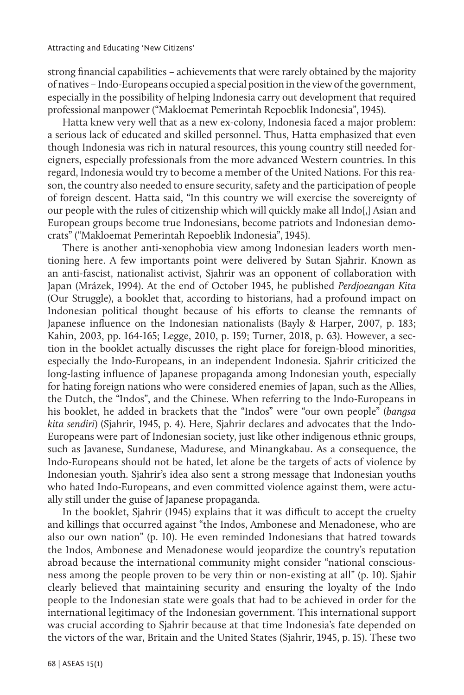strong financial capabilities – achievements that were rarely obtained by the majority of natives – Indo-Europeans occupied a special position in the view of the government, especially in the possibility of helping Indonesia carry out development that required professional manpower ("Makloemat Pemerintah Repoeblik Indonesia", 1945).

Hatta knew very well that as a new ex-colony, Indonesia faced a major problem: a serious lack of educated and skilled personnel. Thus, Hatta emphasized that even though Indonesia was rich in natural resources, this young country still needed foreigners, especially professionals from the more advanced Western countries. In this regard, Indonesia would try to become a member of the United Nations. For this reason, the country also needed to ensure security, safety and the participation of people of foreign descent. Hatta said, "In this country we will exercise the sovereignty of our people with the rules of citizenship which will quickly make all Indo[,] Asian and European groups become true Indonesians, become patriots and Indonesian democrats" ("Makloemat Pemerintah Repoeblik Indonesia", 1945).

There is another anti-xenophobia view among Indonesian leaders worth mentioning here. A few importants point were delivered by Sutan Sjahrir. Known as an anti-fascist, nationalist activist, Sjahrir was an opponent of collaboration with Japan (Mrázek, 1994). At the end of October 1945, he published *Perdjoeangan Kita*  (Our Struggle), a booklet that, according to historians, had a profound impact on Indonesian political thought because of his efforts to cleanse the remnants of Japanese influence on the Indonesian nationalists (Bayly & Harper, 2007, p. 183; Kahin, 2003, pp. 164-165; Legge, 2010, p. 159; Turner, 2018, p. 63). However, a section in the booklet actually discusses the right place for foreign-blood minorities, especially the Indo-Europeans, in an independent Indonesia. Sjahrir criticized the long-lasting influence of Japanese propaganda among Indonesian youth, especially for hating foreign nations who were considered enemies of Japan, such as the Allies, the Dutch, the "Indos", and the Chinese. When referring to the Indo-Europeans in his booklet, he added in brackets that the "Indos" were "our own people" (*bangsa kita sendiri*) (Sjahrir, 1945, p. 4). Here, Sjahrir declares and advocates that the Indo-Europeans were part of Indonesian society, just like other indigenous ethnic groups, such as Javanese, Sundanese, Madurese, and Minangkabau. As a consequence, the Indo-Europeans should not be hated, let alone be the targets of acts of violence by Indonesian youth. Sjahrir's idea also sent a strong message that Indonesian youths who hated Indo-Europeans, and even committed violence against them, were actually still under the guise of Japanese propaganda.

In the booklet, Sjahrir (1945) explains that it was difficult to accept the cruelty and killings that occurred against "the Indos, Ambonese and Menadonese, who are also our own nation" (p. 10). He even reminded Indonesians that hatred towards the Indos, Ambonese and Menadonese would jeopardize the country's reputation abroad because the international community might consider "national consciousness among the people proven to be very thin or non-existing at all" (p. 10). Sjahir clearly believed that maintaining security and ensuring the loyalty of the Indo people to the Indonesian state were goals that had to be achieved in order for the international legitimacy of the Indonesian government. This international support was crucial according to Sjahrir because at that time Indonesia's fate depended on the victors of the war, Britain and the United States (Sjahrir, 1945, p. 15). These two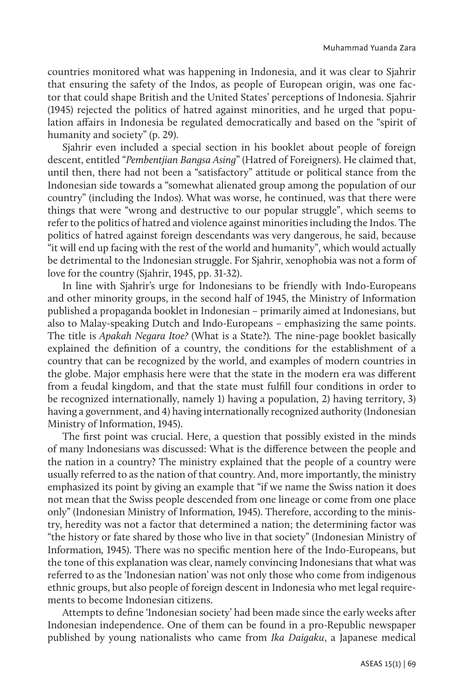countries monitored what was happening in Indonesia, and it was clear to Sjahrir that ensuring the safety of the Indos, as people of European origin, was one factor that could shape British and the United States' perceptions of Indonesia. Sjahrir (1945) rejected the politics of hatred against minorities, and he urged that population affairs in Indonesia be regulated democratically and based on the "spirit of humanity and society" (p. 29).

Sjahrir even included a special section in his booklet about people of foreign descent, entitled "*Pembentjian Bangsa Asing*" (Hatred of Foreigners). He claimed that, until then, there had not been a "satisfactory" attitude or political stance from the Indonesian side towards a "somewhat alienated group among the population of our country" (including the Indos). What was worse, he continued, was that there were things that were "wrong and destructive to our popular struggle", which seems to refer to the politics of hatred and violence against minorities including the Indos. The politics of hatred against foreign descendants was very dangerous, he said, because "it will end up facing with the rest of the world and humanity", which would actually be detrimental to the Indonesian struggle. For Sjahrir, xenophobia was not a form of love for the country (Sjahrir, 1945, pp. 31-32).

In line with Sjahrir's urge for Indonesians to be friendly with Indo-Europeans and other minority groups, in the second half of 1945, the Ministry of Information published a propaganda booklet in Indonesian – primarily aimed at Indonesians, but also to Malay-speaking Dutch and Indo-Europeans – emphasizing the same points. The title is *Apakah Negara Itoe?* (What is a State?)*.* The nine-page booklet basically explained the definition of a country, the conditions for the establishment of a country that can be recognized by the world, and examples of modern countries in the globe. Major emphasis here were that the state in the modern era was different from a feudal kingdom, and that the state must fulfill four conditions in order to be recognized internationally, namely 1) having a population, 2) having territory, 3) having a government, and 4) having internationally recognized authority (Indonesian Ministry of Information, 1945).

The first point was crucial. Here, a question that possibly existed in the minds of many Indonesians was discussed: What is the difference between the people and the nation in a country? The ministry explained that the people of a country were usually referred to as the nation of that country. And, more importantly, the ministry emphasized its point by giving an example that "if we name the Swiss nation it does not mean that the Swiss people descended from one lineage or come from one place only" (Indonesian Ministry of Information*,* 1945). Therefore, according to the ministry, heredity was not a factor that determined a nation; the determining factor was "the history or fate shared by those who live in that society" (Indonesian Ministry of Information*,* 1945). There was no specific mention here of the Indo-Europeans, but the tone of this explanation was clear, namely convincing Indonesians that what was referred to as the 'Indonesian nation' was not only those who come from indigenous ethnic groups, but also people of foreign descent in Indonesia who met legal requirements to become Indonesian citizens.

Attempts to define 'Indonesian society' had been made since the early weeks after Indonesian independence. One of them can be found in a pro-Republic newspaper published by young nationalists who came from *Ika Daigaku*, a Japanese medical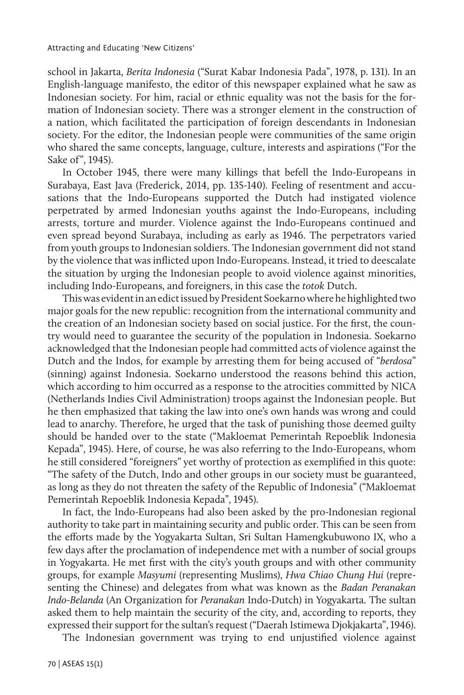school in Jakarta, *Berita Indonesia* ("Surat Kabar Indonesia Pada", 1978, p. 131). In an English-language manifesto, the editor of this newspaper explained what he saw as Indonesian society. For him, racial or ethnic equality was not the basis for the formation of Indonesian society. There was a stronger element in the construction of a nation, which facilitated the participation of foreign descendants in Indonesian society. For the editor, the Indonesian people were communities of the same origin who shared the same concepts, language, culture, interests and aspirations ("For the Sake of", 1945).

In October 1945, there were many killings that befell the Indo-Europeans in Surabaya, East Java (Frederick, 2014, pp. 135-140). Feeling of resentment and accusations that the Indo-Europeans supported the Dutch had instigated violence perpetrated by armed Indonesian youths against the Indo-Europeans, including arrests, torture and murder. Violence against the Indo-Europeans continued and even spread beyond Surabaya, including as early as 1946. The perpetrators varied from youth groups to Indonesian soldiers. The Indonesian government did not stand by the violence that was inflicted upon Indo-Europeans. Instead, it tried to deescalate the situation by urging the Indonesian people to avoid violence against minorities, including Indo-Europeans, and foreigners, in this case the *totok* Dutch.

This was evident in an edict issued by President Soekarno where he highlighted two major goals for the new republic: recognition from the international community and the creation of an Indonesian society based on social justice. For the first, the country would need to guarantee the security of the population in Indonesia. Soekarno acknowledged that the Indonesian people had committed acts of violence against the Dutch and the Indos, for example by arresting them for being accused of "*berdosa*" (sinning) against Indonesia. Soekarno understood the reasons behind this action, which according to him occurred as a response to the atrocities committed by NICA (Netherlands Indies Civil Administration) troops against the Indonesian people. But he then emphasized that taking the law into one's own hands was wrong and could lead to anarchy. Therefore, he urged that the task of punishing those deemed guilty should be handed over to the state ("Makloemat Pemerintah Repoeblik Indonesia Kepada", 1945). Here, of course, he was also referring to the Indo-Europeans, whom he still considered "foreigners" yet worthy of protection as exemplified in this quote: "The safety of the Dutch, Indo and other groups in our society must be guaranteed, as long as they do not threaten the safety of the Republic of Indonesia" ("Makloemat Pemerintah Repoeblik Indonesia Kepada", 1945).

In fact, the Indo-Europeans had also been asked by the pro-Indonesian regional authority to take part in maintaining security and public order. This can be seen from the efforts made by the Yogyakarta Sultan, Sri Sultan Hamengkubuwono IX, who a few days after the proclamation of independence met with a number of social groups in Yogyakarta. He met first with the city's youth groups and with other community groups, for example *Masyumi* (representing Muslims), *Hwa Chiao Chung Hui* (representing the Chinese) and delegates from what was known as the *Badan Peranakan Indo-Belanda* (An Organization for *Peranakan* Indo-Dutch) in Yogyakarta. The sultan asked them to help maintain the security of the city, and, according to reports, they expressed their support for the sultan's request ("Daerah Istimewa Djokjakarta", 1946).

The Indonesian government was trying to end unjustified violence against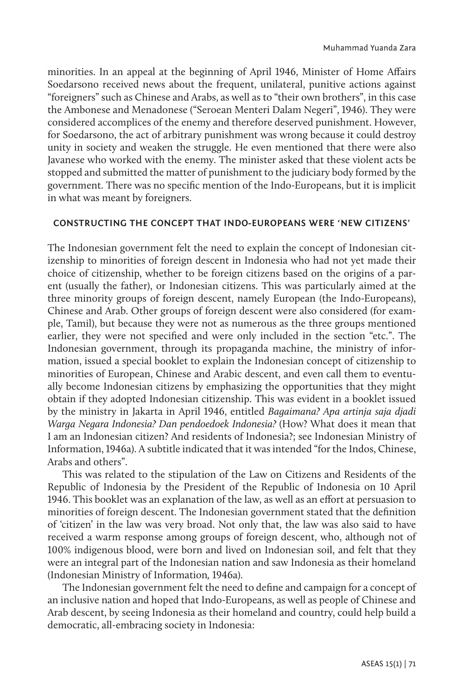minorities. In an appeal at the beginning of April 1946, Minister of Home Affairs Soedarsono received news about the frequent, unilateral, punitive actions against "foreigners" such as Chinese and Arabs, as well as to "their own brothers", in this case the Ambonese and Menadonese ("Seroean Menteri Dalam Negeri", 1946). They were considered accomplices of the enemy and therefore deserved punishment. However, for Soedarsono, the act of arbitrary punishment was wrong because it could destroy unity in society and weaken the struggle. He even mentioned that there were also Javanese who worked with the enemy. The minister asked that these violent acts be stopped and submitted the matter of punishment to the judiciary body formed by the government. There was no specific mention of the Indo-Europeans, but it is implicit in what was meant by foreigners.

## **CONSTRUCTING THE CONCEPT THAT INDO-EUROPEANS WERE 'NEW CITIZENS'**

The Indonesian government felt the need to explain the concept of Indonesian citizenship to minorities of foreign descent in Indonesia who had not yet made their choice of citizenship, whether to be foreign citizens based on the origins of a parent (usually the father), or Indonesian citizens. This was particularly aimed at the three minority groups of foreign descent, namely European (the Indo-Europeans), Chinese and Arab. Other groups of foreign descent were also considered (for example, Tamil), but because they were not as numerous as the three groups mentioned earlier, they were not specified and were only included in the section "etc.". The Indonesian government, through its propaganda machine, the ministry of information, issued a special booklet to explain the Indonesian concept of citizenship to minorities of European, Chinese and Arabic descent, and even call them to eventually become Indonesian citizens by emphasizing the opportunities that they might obtain if they adopted Indonesian citizenship. This was evident in a booklet issued by the ministry in Jakarta in April 1946, entitled *Bagaimana? Apa artinja saja djadi Warga Negara Indonesia? Dan pendoedoek Indonesia?* (How? What does it mean that I am an Indonesian citizen? And residents of Indonesia?; see Indonesian Ministry of Information, 1946a). A subtitle indicated that it was intended "for the Indos, Chinese, Arabs and others".

This was related to the stipulation of the Law on Citizens and Residents of the Republic of Indonesia by the President of the Republic of Indonesia on 10 April 1946. This booklet was an explanation of the law, as well as an effort at persuasion to minorities of foreign descent. The Indonesian government stated that the definition of 'citizen' in the law was very broad. Not only that, the law was also said to have received a warm response among groups of foreign descent, who, although not of 100% indigenous blood, were born and lived on Indonesian soil, and felt that they were an integral part of the Indonesian nation and saw Indonesia as their homeland (Indonesian Ministry of Information*,* 1946a).

The Indonesian government felt the need to define and campaign for a concept of an inclusive nation and hoped that Indo-Europeans, as well as people of Chinese and Arab descent, by seeing Indonesia as their homeland and country, could help build a democratic, all-embracing society in Indonesia: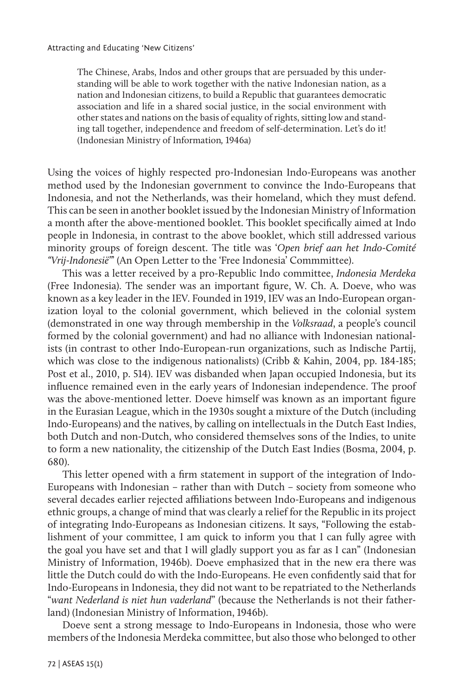The Chinese, Arabs, Indos and other groups that are persuaded by this understanding will be able to work together with the native Indonesian nation, as a nation and Indonesian citizens, to build a Republic that guarantees democratic association and life in a shared social justice, in the social environment with other states and nations on the basis of equality of rights, sitting low and standing tall together, independence and freedom of self-determination. Let's do it! (Indonesian Ministry of Information*,* 1946a)

Using the voices of highly respected pro-Indonesian Indo-Europeans was another method used by the Indonesian government to convince the Indo-Europeans that Indonesia, and not the Netherlands, was their homeland, which they must defend. This can be seen in another booklet issued by the Indonesian Ministry of Information a month after the above-mentioned booklet. This booklet specifically aimed at Indo people in Indonesia, in contrast to the above booklet, which still addressed various minority groups of foreign descent. The title was '*Open brief aan het Indo-Comité "Vrij-Indonesië"*' (An Open Letter to the 'Free Indonesia' Commmittee).

This was a letter received by a pro-Republic Indo committee, *Indonesia Merdeka* (Free Indonesia). The sender was an important figure, W. Ch. A. Doeve, who was known as a key leader in the IEV. Founded in 1919, IEV was an Indo-European organization loyal to the colonial government, which believed in the colonial system (demonstrated in one way through membership in the *Volksraad*, a people's council formed by the colonial government) and had no alliance with Indonesian nationalists (in contrast to other Indo-European-run organizations, such as Indische Partij, which was close to the indigenous nationalists) (Cribb & Kahin, 2004, pp. 184-185; Post et al., 2010, p. 514). IEV was disbanded when Japan occupied Indonesia, but its influence remained even in the early years of Indonesian independence. The proof was the above-mentioned letter. Doeve himself was known as an important figure in the Eurasian League, which in the 1930s sought a mixture of the Dutch (including Indo-Europeans) and the natives, by calling on intellectuals in the Dutch East Indies, both Dutch and non-Dutch, who considered themselves sons of the Indies, to unite to form a new nationality, the citizenship of the Dutch East Indies (Bosma, 2004, p. 680).

This letter opened with a firm statement in support of the integration of Indo-Europeans with Indonesian – rather than with Dutch – society from someone who several decades earlier rejected affiliations between Indo-Europeans and indigenous ethnic groups, a change of mind that was clearly a relief for the Republic in its project of integrating Indo-Europeans as Indonesian citizens. It says, "Following the establishment of your committee, I am quick to inform you that I can fully agree with the goal you have set and that I will gladly support you as far as I can" (Indonesian Ministry of Information, 1946b). Doeve emphasized that in the new era there was little the Dutch could do with the Indo-Europeans. He even confidently said that for Indo-Europeans in Indonesia, they did not want to be repatriated to the Netherlands "*want Nederland is niet hun vaderland*" (because the Netherlands is not their fatherland) (Indonesian Ministry of Information, 1946b).

Doeve sent a strong message to Indo-Europeans in Indonesia, those who were members of the Indonesia Merdeka committee, but also those who belonged to other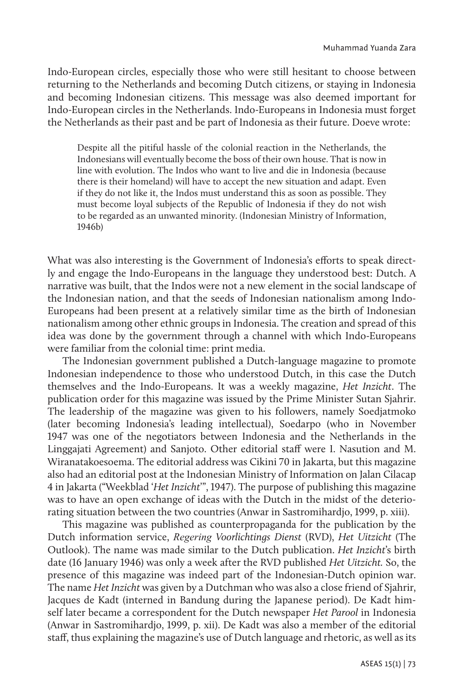Indo-European circles, especially those who were still hesitant to choose between returning to the Netherlands and becoming Dutch citizens, or staying in Indonesia and becoming Indonesian citizens. This message was also deemed important for Indo-European circles in the Netherlands. Indo-Europeans in Indonesia must forget the Netherlands as their past and be part of Indonesia as their future. Doeve wrote:

Despite all the pitiful hassle of the colonial reaction in the Netherlands, the Indonesians will eventually become the boss of their own house. That is now in line with evolution. The Indos who want to live and die in Indonesia (because there is their homeland) will have to accept the new situation and adapt. Even if they do not like it, the Indos must understand this as soon as possible. They must become loyal subjects of the Republic of Indonesia if they do not wish to be regarded as an unwanted minority. (Indonesian Ministry of Information, 1946b)

What was also interesting is the Government of Indonesia's efforts to speak directly and engage the Indo-Europeans in the language they understood best: Dutch. A narrative was built, that the Indos were not a new element in the social landscape of the Indonesian nation, and that the seeds of Indonesian nationalism among Indo-Europeans had been present at a relatively similar time as the birth of Indonesian nationalism among other ethnic groups in Indonesia. The creation and spread of this idea was done by the government through a channel with which Indo-Europeans were familiar from the colonial time: print media.

The Indonesian government published a Dutch-language magazine to promote Indonesian independence to those who understood Dutch, in this case the Dutch themselves and the Indo-Europeans. It was a weekly magazine, *Het Inzicht*. The publication order for this magazine was issued by the Prime Minister Sutan Sjahrir. The leadership of the magazine was given to his followers, namely Soedjatmoko (later becoming Indonesia's leading intellectual), Soedarpo (who in November 1947 was one of the negotiators between Indonesia and the Netherlands in the Linggajati Agreement) and Sanjoto. Other editorial staff were I. Nasution and M. Wiranatakoesoema. The editorial address was Cikini 70 in Jakarta, but this magazine also had an editorial post at the Indonesian Ministry of Information on Jalan Cilacap 4 in Jakarta ("Weekblad '*Het Inzicht*'", 1947). The purpose of publishing this magazine was to have an open exchange of ideas with the Dutch in the midst of the deteriorating situation between the two countries (Anwar in Sastromihardjo, 1999, p. xiii).

This magazine was published as counterpropaganda for the publication by the Dutch information service, *Regering Voorlichtings Dienst* (RVD), *Het Uitzicht* (The Outlook). The name was made similar to the Dutch publication. *Het Inzicht*'s birth date (16 January 1946) was only a week after the RVD published *Het Uitzicht.* So, the presence of this magazine was indeed part of the Indonesian-Dutch opinion war. The name *Het Inzicht* was given by a Dutchman who was also a close friend of Sjahrir, Jacques de Kadt (interned in Bandung during the Japanese period). De Kadt himself later became a correspondent for the Dutch newspaper *Het Parool* in Indonesia (Anwar in Sastromihardjo, 1999, p. xii). De Kadt was also a member of the editorial staff, thus explaining the magazine's use of Dutch language and rhetoric, as well as its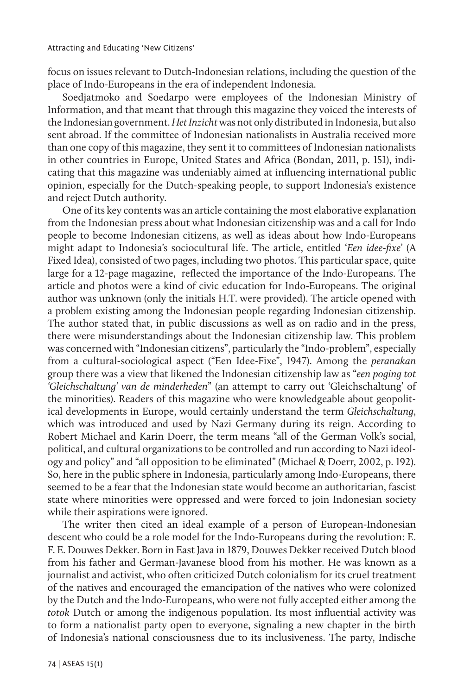focus on issues relevant to Dutch-Indonesian relations, including the question of the place of Indo-Europeans in the era of independent Indonesia.

Soedjatmoko and Soedarpo were employees of the Indonesian Ministry of Information, and that meant that through this magazine they voiced the interests of the Indonesian government. *Het Inzicht* was not only distributed in Indonesia, but also sent abroad. If the committee of Indonesian nationalists in Australia received more than one copy of this magazine, they sent it to committees of Indonesian nationalists in other countries in Europe, United States and Africa (Bondan, 2011, p. 151), indicating that this magazine was undeniably aimed at influencing international public opinion, especially for the Dutch-speaking people, to support Indonesia's existence and reject Dutch authority.

One of its key contents was an article containing the most elaborative explanation from the Indonesian press about what Indonesian citizenship was and a call for Indo people to become Indonesian citizens, as well as ideas about how Indo-Europeans might adapt to Indonesia's sociocultural life. The article, entitled '*Een idee-fixe*' (A Fixed Idea), consisted of two pages, including two photos. This particular space, quite large for a 12-page magazine, reflected the importance of the Indo-Europeans. The article and photos were a kind of civic education for Indo-Europeans. The original author was unknown (only the initials H.T. were provided). The article opened with a problem existing among the Indonesian people regarding Indonesian citizenship. The author stated that, in public discussions as well as on radio and in the press, there were misunderstandings about the Indonesian citizenship law. This problem was concerned with "Indonesian citizens", particularly the "Indo-problem", especially from a cultural-sociological aspect ("Een Idee-Fixe", 1947). Among the *peranakan* group there was a view that likened the Indonesian citizenship law as "*een poging tot 'Gleichschaltung' van de minderheden*" (an attempt to carry out 'Gleichschaltung' of the minorities). Readers of this magazine who were knowledgeable about geopolitical developments in Europe, would certainly understand the term *Gleichschaltung*, which was introduced and used by Nazi Germany during its reign. According to Robert Michael and Karin Doerr, the term means "all of the German Volk's social, political, and cultural organizations to be controlled and run according to Nazi ideology and policy" and "all opposition to be eliminated" (Michael & Doerr, 2002, p. 192). So, here in the public sphere in Indonesia, particularly among Indo-Europeans, there seemed to be a fear that the Indonesian state would become an authoritarian, fascist state where minorities were oppressed and were forced to join Indonesian society while their aspirations were ignored.

The writer then cited an ideal example of a person of European-Indonesian descent who could be a role model for the Indo-Europeans during the revolution: E. F. E. Douwes Dekker. Born in East Java in 1879, Douwes Dekker received Dutch blood from his father and German-Javanese blood from his mother. He was known as a journalist and activist, who often criticized Dutch colonialism for its cruel treatment of the natives and encouraged the emancipation of the natives who were colonized by the Dutch and the Indo-Europeans, who were not fully accepted either among the *totok* Dutch or among the indigenous population. Its most influential activity was to form a nationalist party open to everyone, signaling a new chapter in the birth of Indonesia's national consciousness due to its inclusiveness. The party, Indische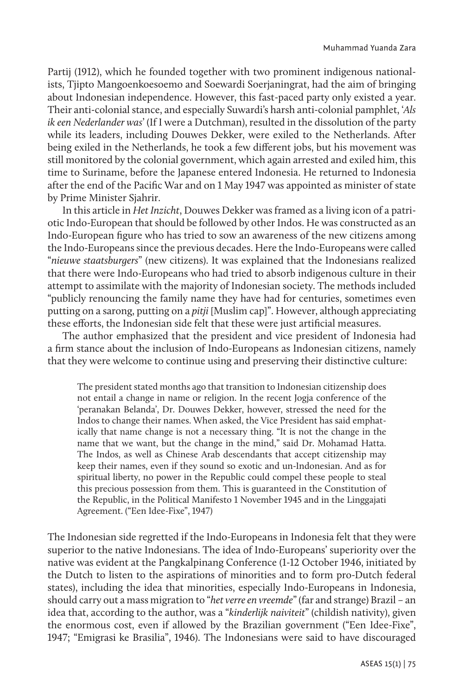Partij (1912), which he founded together with two prominent indigenous nationalists, Tjipto Mangoenkoesoemo and Soewardi Soerjaningrat, had the aim of bringing about Indonesian independence. However, this fast-paced party only existed a year. Their anti-colonial stance, and especially Suwardi's harsh anti-colonial pamphlet, '*Als ik een Nederlander was*' (If I were a Dutchman), resulted in the dissolution of the party while its leaders, including Douwes Dekker, were exiled to the Netherlands. After being exiled in the Netherlands, he took a few different jobs, but his movement was still monitored by the colonial government, which again arrested and exiled him, this time to Suriname, before the Japanese entered Indonesia. He returned to Indonesia after the end of the Pacific War and on 1 May 1947 was appointed as minister of state by Prime Minister Sjahrir.

In this article in *Het Inzicht*, Douwes Dekker was framed as a living icon of a patriotic Indo-European that should be followed by other Indos. He was constructed as an Indo-European figure who has tried to sow an awareness of the new citizens among the Indo-Europeans since the previous decades. Here the Indo-Europeans were called "*nieuwe staatsburgers*" (new citizens). It was explained that the Indonesians realized that there were Indo-Europeans who had tried to absorb indigenous culture in their attempt to assimilate with the majority of Indonesian society. The methods included "publicly renouncing the family name they have had for centuries, sometimes even putting on a sarong, putting on a *pitji* [Muslim cap]". However, although appreciating these efforts, the Indonesian side felt that these were just artificial measures.

The author emphasized that the president and vice president of Indonesia had a firm stance about the inclusion of Indo-Europeans as Indonesian citizens, namely that they were welcome to continue using and preserving their distinctive culture:

The president stated months ago that transition to Indonesian citizenship does not entail a change in name or religion. In the recent Jogja conference of the 'peranakan Belanda', Dr. Douwes Dekker, however, stressed the need for the Indos to change their names. When asked, the Vice President has said emphatically that name change is not a necessary thing. "It is not the change in the name that we want, but the change in the mind," said Dr. Mohamad Hatta. The Indos, as well as Chinese Arab descendants that accept citizenship may keep their names, even if they sound so exotic and un-Indonesian. And as for spiritual liberty, no power in the Republic could compel these people to steal this precious possession from them. This is guaranteed in the Constitution of the Republic, in the Political Manifesto 1 November 1945 and in the Linggajati Agreement. ("Een Idee-Fixe", 1947)

The Indonesian side regretted if the Indo-Europeans in Indonesia felt that they were superior to the native Indonesians. The idea of Indo-Europeans' superiority over the native was evident at the Pangkalpinang Conference (1-12 October 1946, initiated by the Dutch to listen to the aspirations of minorities and to form pro-Dutch federal states), including the idea that minorities, especially Indo-Europeans in Indonesia, should carry out a mass migration to "*het verre en vreemde*" (far and strange) Brazil – an idea that, according to the author, was a "*kinderlijk naiviteit*" (childish nativity), given the enormous cost, even if allowed by the Brazilian government ("Een Idee-Fixe", 1947; "Emigrasi ke Brasilia", 1946). The Indonesians were said to have discouraged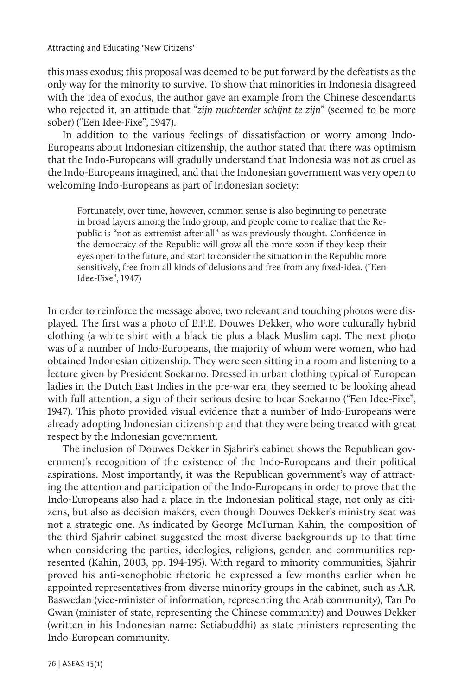Attracting and Educating 'New Citizens'

this mass exodus; this proposal was deemed to be put forward by the defeatists as the only way for the minority to survive. To show that minorities in Indonesia disagreed with the idea of exodus, the author gave an example from the Chinese descendants who rejected it, an attitude that "*zijn nuchterder schijnt te zijn*" (seemed to be more sober) ("Een Idee-Fixe", 1947).

In addition to the various feelings of dissatisfaction or worry among Indo-Europeans about Indonesian citizenship, the author stated that there was optimism that the Indo-Europeans will gradully understand that Indonesia was not as cruel as the Indo-Europeans imagined, and that the Indonesian government was very open to welcoming Indo-Europeans as part of Indonesian society:

Fortunately, over time, however, common sense is also beginning to penetrate in broad layers among the Indo group, and people come to realize that the Republic is "not as extremist after all" as was previously thought. Confidence in the democracy of the Republic will grow all the more soon if they keep their eyes open to the future, and start to consider the situation in the Republic more sensitively, free from all kinds of delusions and free from any fixed-idea. ("Een Idee-Fixe", 1947)

In order to reinforce the message above, two relevant and touching photos were displayed. The first was a photo of E.F.E. Douwes Dekker, who wore culturally hybrid clothing (a white shirt with a black tie plus a black Muslim cap). The next photo was of a number of Indo-Europeans, the majority of whom were women, who had obtained Indonesian citizenship. They were seen sitting in a room and listening to a lecture given by President Soekarno. Dressed in urban clothing typical of European ladies in the Dutch East Indies in the pre-war era, they seemed to be looking ahead with full attention, a sign of their serious desire to hear Soekarno ("Een Idee-Fixe", 1947). This photo provided visual evidence that a number of Indo-Europeans were already adopting Indonesian citizenship and that they were being treated with great respect by the Indonesian government.

The inclusion of Douwes Dekker in Sjahrir's cabinet shows the Republican government's recognition of the existence of the Indo-Europeans and their political aspirations. Most importantly, it was the Republican government's way of attracting the attention and participation of the Indo-Europeans in order to prove that the Indo-Europeans also had a place in the Indonesian political stage, not only as citizens, but also as decision makers, even though Douwes Dekker's ministry seat was not a strategic one. As indicated by George McTurnan Kahin, the composition of the third Sjahrir cabinet suggested the most diverse backgrounds up to that time when considering the parties, ideologies, religions, gender, and communities represented (Kahin, 2003, pp. 194-195). With regard to minority communities, Sjahrir proved his anti-xenophobic rhetoric he expressed a few months earlier when he appointed representatives from diverse minority groups in the cabinet, such as A.R. Baswedan (vice-minister of information, representing the Arab community), Tan Po Gwan (minister of state, representing the Chinese community) and Douwes Dekker (written in his Indonesian name: Setiabuddhi) as state ministers representing the Indo-European community.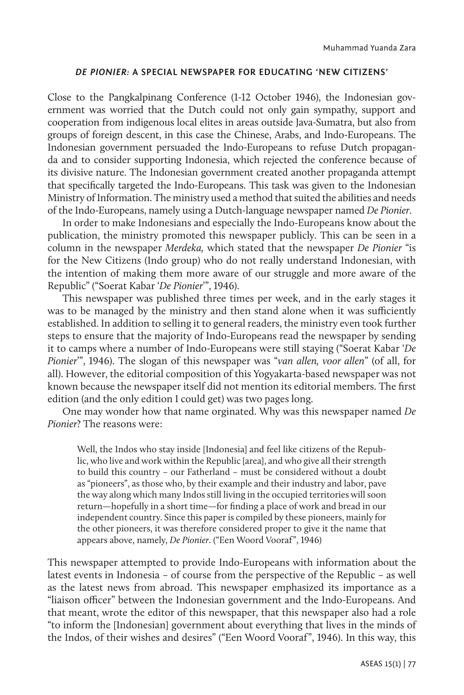#### *DE PIONIER:* **A SPECIAL NEWSPAPER FOR EDUCATING 'NEW CITIZENS'**

Close to the Pangkalpinang Conference (1-12 October 1946), the Indonesian government was worried that the Dutch could not only gain sympathy, support and cooperation from indigenous local elites in areas outside Java-Sumatra, but also from groups of foreign descent, in this case the Chinese, Arabs, and Indo-Europeans. The Indonesian government persuaded the Indo-Europeans to refuse Dutch propaganda and to consider supporting Indonesia, which rejected the conference because of its divisive nature. The Indonesian government created another propaganda attempt that specifically targeted the Indo-Europeans. This task was given to the Indonesian Ministry of Information. The ministry used a method that suited the abilities and needs of the Indo-Europeans, namely using a Dutch-language newspaper named *De Pionier*.

In order to make Indonesians and especially the Indo-Europeans know about the publication, the ministry promoted this newspaper publicly. This can be seen in a column in the newspaper *Merdeka,* which stated that the newspaper *De Pionier* "is for the New Citizens (Indo group) who do not really understand Indonesian, with the intention of making them more aware of our struggle and more aware of the Republic" ("Soerat Kabar '*De Pionier*'", 1946).

This newspaper was published three times per week, and in the early stages it was to be managed by the ministry and then stand alone when it was sufficiently established. In addition to selling it to general readers, the ministry even took further steps to ensure that the majority of Indo-Europeans read the newspaper by sending it to camps where a number of Indo-Europeans were still staying ("Soerat Kabar '*De Pionier*'", 1946). The slogan of this newspaper was "*van allen, voor allen*" (of all, for all). However, the editorial composition of this Yogyakarta-based newspaper was not known because the newspaper itself did not mention its editorial members. The first edition (and the only edition I could get) was two pages long.

One may wonder how that name orginated. Why was this newspaper named *De Pionier*? The reasons were:

Well, the Indos who stay inside [Indonesia] and feel like citizens of the Republic, who live and work within the Republic [area], and who give all their strength to build this country – our Fatherland – must be considered without a doubt as "pioneers", as those who, by their example and their industry and labor, pave the way along which many Indos still living in the occupied territories will soon return—hopefully in a short time—for finding a place of work and bread in our independent country. Since this paper is compiled by these pioneers, mainly for the other pioneers, it was therefore considered proper to give it the name that appears above, namely, *De Pionier*. ("Een Woord Vooraf", 1946)

This newspaper attempted to provide Indo-Europeans with information about the latest events in Indonesia – of course from the perspective of the Republic – as well as the latest news from abroad. This newspaper emphasized its importance as a "liaison officer" between the Indonesian government and the Indo-Europeans. And that meant, wrote the editor of this newspaper, that this newspaper also had a role "to inform the [Indonesian] government about everything that lives in the minds of the Indos, of their wishes and desires" ("Een Woord Vooraf", 1946). In this way, this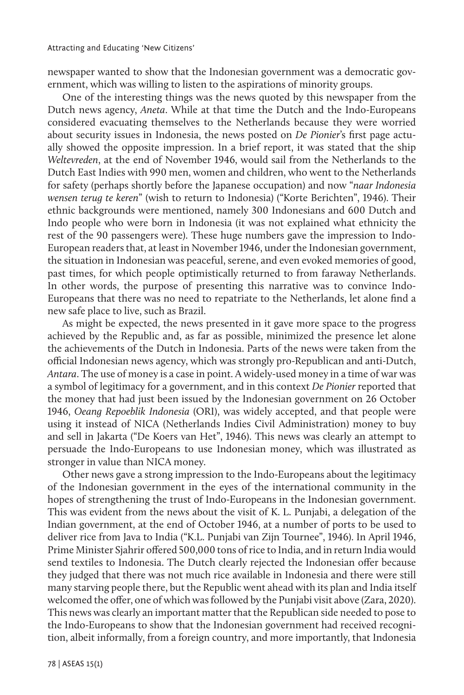newspaper wanted to show that the Indonesian government was a democratic government, which was willing to listen to the aspirations of minority groups.

One of the interesting things was the news quoted by this newspaper from the Dutch news agency, *Aneta*. While at that time the Dutch and the Indo-Europeans considered evacuating themselves to the Netherlands because they were worried about security issues in Indonesia, the news posted on *De Pionier*'s first page actually showed the opposite impression. In a brief report, it was stated that the ship *Weltevreden*, at the end of November 1946, would sail from the Netherlands to the Dutch East Indies with 990 men, women and children, who went to the Netherlands for safety (perhaps shortly before the Japanese occupation) and now "*naar Indonesia wensen terug te keren*" (wish to return to Indonesia) ("Korte Berichten", 1946). Their ethnic backgrounds were mentioned, namely 300 Indonesians and 600 Dutch and Indo people who were born in Indonesia (it was not explained what ethnicity the rest of the 90 passengers were). These huge numbers gave the impression to Indo-European readers that, at least in November 1946, under the Indonesian government, the situation in Indonesian was peaceful, serene, and even evoked memories of good, past times, for which people optimistically returned to from faraway Netherlands. In other words, the purpose of presenting this narrative was to convince Indo-Europeans that there was no need to repatriate to the Netherlands, let alone find a new safe place to live, such as Brazil.

As might be expected, the news presented in it gave more space to the progress achieved by the Republic and, as far as possible, minimized the presence let alone the achievements of the Dutch in Indonesia. Parts of the news were taken from the official Indonesian news agency, which was strongly pro-Republican and anti-Dutch, *Antara*. The use of money is a case in point. A widely-used money in a time of war was a symbol of legitimacy for a government, and in this context *De Pionier* reported that the money that had just been issued by the Indonesian government on 26 October 1946, *Oeang Repoeblik Indonesia* (ORI), was widely accepted, and that people were using it instead of NICA (Netherlands Indies Civil Administration) money to buy and sell in Jakarta ("De Koers van Het", 1946). This news was clearly an attempt to persuade the Indo-Europeans to use Indonesian money, which was illustrated as stronger in value than NICA money.

Other news gave a strong impression to the Indo-Europeans about the legitimacy of the Indonesian government in the eyes of the international community in the hopes of strengthening the trust of Indo-Europeans in the Indonesian government. This was evident from the news about the visit of K. L. Punjabi, a delegation of the Indian government, at the end of October 1946, at a number of ports to be used to deliver rice from Java to India ("K.L. Punjabi van Zijn Tournee", 1946). In April 1946, Prime Minister Sjahrir offered 500,000 tons of rice to India, and in return India would send textiles to Indonesia. The Dutch clearly rejected the Indonesian offer because they judged that there was not much rice available in Indonesia and there were still many starving people there, but the Republic went ahead with its plan and India itself welcomed the offer, one of which was followed by the Punjabi visit above (Zara, 2020). This news was clearly an important matter that the Republican side needed to pose to the Indo-Europeans to show that the Indonesian government had received recognition, albeit informally, from a foreign country, and more importantly, that Indonesia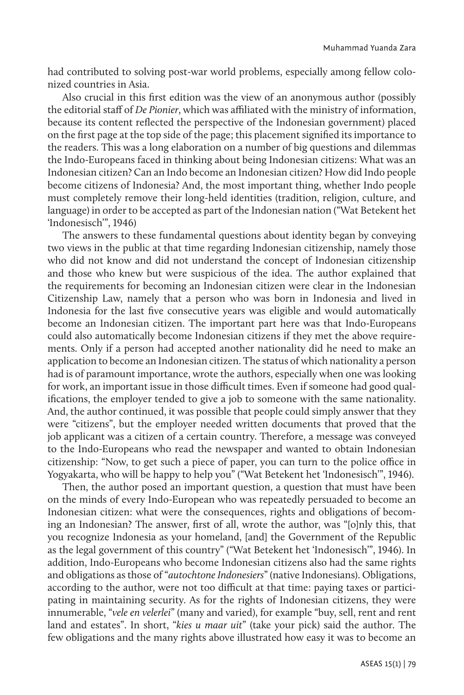had contributed to solving post-war world problems, especially among fellow colonized countries in Asia.

Also crucial in this first edition was the view of an anonymous author (possibly the editorial staff of *De Pionier*, which was affiliated with the ministry of information, because its content reflected the perspective of the Indonesian government) placed on the first page at the top side of the page; this placement signified its importance to the readers. This was a long elaboration on a number of big questions and dilemmas the Indo-Europeans faced in thinking about being Indonesian citizens: What was an Indonesian citizen? Can an Indo become an Indonesian citizen? How did Indo people become citizens of Indonesia? And, the most important thing, whether Indo people must completely remove their long-held identities (tradition, religion, culture, and language) in order to be accepted as part of the Indonesian nation ("Wat Betekent het 'Indonesisch'", 1946)

The answers to these fundamental questions about identity began by conveying two views in the public at that time regarding Indonesian citizenship, namely those who did not know and did not understand the concept of Indonesian citizenship and those who knew but were suspicious of the idea. The author explained that the requirements for becoming an Indonesian citizen were clear in the Indonesian Citizenship Law, namely that a person who was born in Indonesia and lived in Indonesia for the last five consecutive years was eligible and would automatically become an Indonesian citizen. The important part here was that Indo-Europeans could also automatically become Indonesian citizens if they met the above requirements. Only if a person had accepted another nationality did he need to make an application to become an Indonesian citizen. The status of which nationality a person had is of paramount importance, wrote the authors, especially when one was looking for work, an important issue in those difficult times. Even if someone had good qualifications, the employer tended to give a job to someone with the same nationality. And, the author continued, it was possible that people could simply answer that they were "citizens", but the employer needed written documents that proved that the job applicant was a citizen of a certain country. Therefore, a message was conveyed to the Indo-Europeans who read the newspaper and wanted to obtain Indonesian citizenship: "Now, to get such a piece of paper, you can turn to the police office in Yogyakarta, who will be happy to help you" ("Wat Betekent het 'Indonesisch'", 1946).

Then, the author posed an important question, a question that must have been on the minds of every Indo-European who was repeatedly persuaded to become an Indonesian citizen: what were the consequences, rights and obligations of becoming an Indonesian? The answer, first of all, wrote the author, was "[o]nly this, that you recognize Indonesia as your homeland, [and] the Government of the Republic as the legal government of this country" ("Wat Betekent het 'Indonesisch'", 1946). In addition, Indo-Europeans who become Indonesian citizens also had the same rights and obligations as those of "*autochtone Indonesiers*" (native Indonesians). Obligations, according to the author, were not too difficult at that time: paying taxes or participating in maintaining security. As for the rights of Indonesian citizens, they were innumerable, "*vele en velerlei*" (many and varied), for example "buy, sell, rent and rent land and estates". In short, "*kies u maar uit*" (take your pick) said the author. The few obligations and the many rights above illustrated how easy it was to become an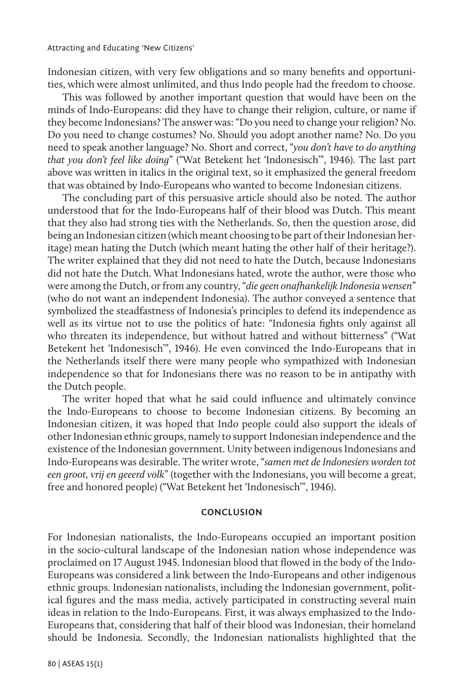Indonesian citizen, with very few obligations and so many benefits and opportunities, which were almost unlimited, and thus Indo people had the freedom to choose.

This was followed by another important question that would have been on the minds of Indo-Europeans: did they have to change their religion, culture, or name if they become Indonesians? The answer was: "Do you need to change your religion? No. Do you need to change costumes? No. Should you adopt another name? No. Do you need to speak another language? No. Short and correct, "*you don't have to do anything that you don't feel like doing*" ("Wat Betekent het 'Indonesisch'", 1946). The last part above was written in italics in the original text, so it emphasized the general freedom that was obtained by Indo-Europeans who wanted to become Indonesian citizens.

The concluding part of this persuasive article should also be noted. The author understood that for the Indo-Europeans half of their blood was Dutch. This meant that they also had strong ties with the Netherlands. So, then the question arose, did being an Indonesian citizen (which meant choosing to be part of their Indonesian heritage) mean hating the Dutch (which meant hating the other half of their heritage?). The writer explained that they did not need to hate the Dutch, because Indonesians did not hate the Dutch. What Indonesians hated, wrote the author, were those who were among the Dutch, or from any country, "*die geen onafhankelijk Indonesia wensen*" (who do not want an independent Indonesia). The author conveyed a sentence that symbolized the steadfastness of Indonesia's principles to defend its independence as well as its virtue not to use the politics of hate: "Indonesia fights only against all who threaten its independence, but without hatred and without bitterness" ("Wat Betekent het 'Indonesisch'", 1946). He even convinced the Indo-Europeans that in the Netherlands itself there were many people who sympathized with Indonesian independence so that for Indonesians there was no reason to be in antipathy with the Dutch people.

The writer hoped that what he said could influence and ultimately convince the Indo-Europeans to choose to become Indonesian citizens. By becoming an Indonesian citizen, it was hoped that Indo people could also support the ideals of other Indonesian ethnic groups, namely to support Indonesian independence and the existence of the Indonesian government. Unity between indigenous Indonesians and Indo-Europeans was desirable. The writer wrote, "*samen met de Indonesiers worden tot een groot, vrij en geeerd volk*" (together with the Indonesians, you will become a great, free and honored people) ("Wat Betekent het 'Indonesisch'", 1946).

## **CONCLUSION**

For Indonesian nationalists, the Indo-Europeans occupied an important position in the socio-cultural landscape of the Indonesian nation whose independence was proclaimed on 17 August 1945. Indonesian blood that flowed in the body of the Indo-Europeans was considered a link between the Indo-Europeans and other indigenous ethnic groups. Indonesian nationalists, including the Indonesian government, political figures and the mass media, actively participated in constructing several main ideas in relation to the Indo-Europeans. First, it was always emphasized to the Indo-Europeans that, considering that half of their blood was Indonesian, their homeland should be Indonesia. Secondly, the Indonesian nationalists highlighted that the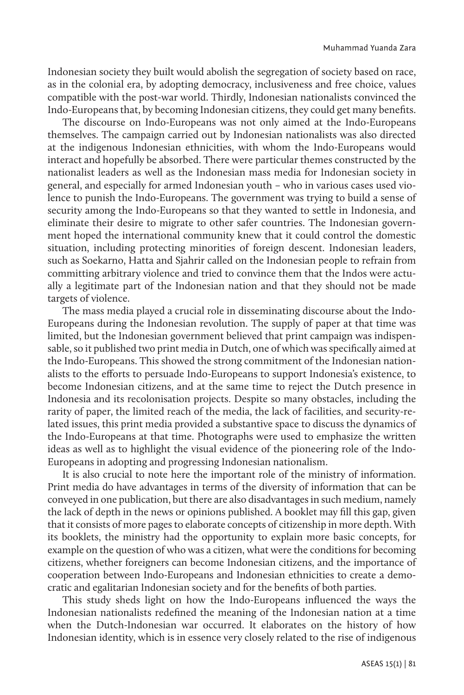Indonesian society they built would abolish the segregation of society based on race, as in the colonial era, by adopting democracy, inclusiveness and free choice, values compatible with the post-war world. Thirdly, Indonesian nationalists convinced the Indo-Europeans that, by becoming Indonesian citizens, they could get many benefits.

The discourse on Indo-Europeans was not only aimed at the Indo-Europeans themselves. The campaign carried out by Indonesian nationalists was also directed at the indigenous Indonesian ethnicities, with whom the Indo-Europeans would interact and hopefully be absorbed. There were particular themes constructed by the nationalist leaders as well as the Indonesian mass media for Indonesian society in general, and especially for armed Indonesian youth – who in various cases used violence to punish the Indo-Europeans. The government was trying to build a sense of security among the Indo-Europeans so that they wanted to settle in Indonesia, and eliminate their desire to migrate to other safer countries. The Indonesian government hoped the international community knew that it could control the domestic situation, including protecting minorities of foreign descent. Indonesian leaders, such as Soekarno, Hatta and Sjahrir called on the Indonesian people to refrain from committing arbitrary violence and tried to convince them that the Indos were actually a legitimate part of the Indonesian nation and that they should not be made targets of violence.

The mass media played a crucial role in disseminating discourse about the Indo-Europeans during the Indonesian revolution. The supply of paper at that time was limited, but the Indonesian government believed that print campaign was indispensable, so it published two print media in Dutch, one of which was specifically aimed at the Indo-Europeans. This showed the strong commitment of the Indonesian nationalists to the efforts to persuade Indo-Europeans to support Indonesia's existence, to become Indonesian citizens, and at the same time to reject the Dutch presence in Indonesia and its recolonisation projects. Despite so many obstacles, including the rarity of paper, the limited reach of the media, the lack of facilities, and security-related issues, this print media provided a substantive space to discuss the dynamics of the Indo-Europeans at that time. Photographs were used to emphasize the written ideas as well as to highlight the visual evidence of the pioneering role of the Indo-Europeans in adopting and progressing Indonesian nationalism.

It is also crucial to note here the important role of the ministry of information. Print media do have advantages in terms of the diversity of information that can be conveyed in one publication, but there are also disadvantages in such medium, namely the lack of depth in the news or opinions published. A booklet may fill this gap, given that it consists of more pages to elaborate concepts of citizenship in more depth. With its booklets, the ministry had the opportunity to explain more basic concepts, for example on the question of who was a citizen, what were the conditions for becoming citizens, whether foreigners can become Indonesian citizens, and the importance of cooperation between Indo-Europeans and Indonesian ethnicities to create a democratic and egalitarian Indonesian society and for the benefits of both parties.

This study sheds light on how the Indo-Europeans influenced the ways the Indonesian nationalists redefined the meaning of the Indonesian nation at a time when the Dutch-Indonesian war occurred. It elaborates on the history of how Indonesian identity, which is in essence very closely related to the rise of indigenous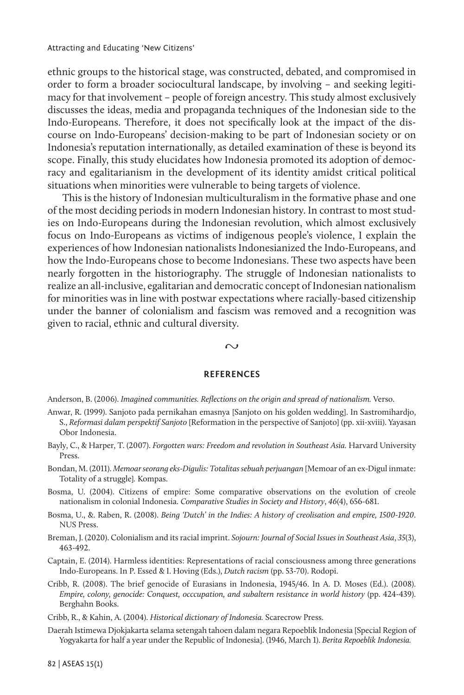ethnic groups to the historical stage, was constructed, debated, and compromised in order to form a broader sociocultural landscape, by involving – and seeking legitimacy for that involvement – people of foreign ancestry. This study almost exclusively discusses the ideas, media and propaganda techniques of the Indonesian side to the Indo-Europeans. Therefore, it does not specifically look at the impact of the discourse on Indo-Europeans' decision-making to be part of Indonesian society or on Indonesia's reputation internationally, as detailed examination of these is beyond its scope. Finally, this study elucidates how Indonesia promoted its adoption of democracy and egalitarianism in the development of its identity amidst critical political situations when minorities were vulnerable to being targets of violence.

This is the history of Indonesian multiculturalism in the formative phase and one of the most deciding periods in modern Indonesian history. In contrast to most studies on Indo-Europeans during the Indonesian revolution, which almost exclusively focus on Indo-Europeans as victims of indigenous people's violence, I explain the experiences of how Indonesian nationalists Indonesianized the Indo-Europeans, and how the Indo-Europeans chose to become Indonesians. These two aspects have been nearly forgotten in the historiography. The struggle of Indonesian nationalists to realize an all-inclusive, egalitarian and democratic concept of Indonesian nationalism for minorities was in line with postwar expectations where racially-based citizenship under the banner of colonialism and fascism was removed and a recognition was given to racial, ethnic and cultural diversity.

#### $\sim$

#### **REFERENCES**

Anderson, B. (2006). *Imagined communities. Reflections on the origin and spread of nationalism.* Verso.

- Anwar, R. (1999). Sanjoto pada pernikahan emasnya [Sanjoto on his golden wedding]. In Sastromihardjo, S., *Reformasi dalam perspektif Sanjoto* [Reformation in the perspective of Sanjoto] (pp. xii-xviii). Yayasan Obor Indonesia.
- Bayly, C., & Harper, T. (2007). *Forgotten wars: Freedom and revolution in Southeast Asia.* Harvard University Press.
- Bondan, M. (2011). *Memoar seorang eks-Digulis: Totalitas sebuah perjuangan* [Memoar of an ex-Digul inmate: Totality of a struggle]*.* Kompas.
- Bosma, U. (2004). Citizens of empire: Some comparative observations on the evolution of creole nationalism in colonial Indonesia. *Comparative Studies in Society and History*, *46*(4), 656-681.
- Bosma, U., &. Raben, R. (2008). *Being 'Dutch' in the Indies: A history of creolisation and empire, 1500-1920*. NUS Press.
- Breman, J. (2020). Colonialism and its racial imprint. *Sojourn: Journal of Social Issues in Southeast Asia*, *35*(3), 463-492.
- Captain, E. (2014). Harmless identities: Representations of racial consciousness among three generations Indo-Europeans. In P. Essed & I. Hoving (Eds.), *Dutch racism* (pp. 53-70). Rodopi.
- Cribb, R. (2008). The brief genocide of Eurasians in Indonesia, 1945/46. In A. D. Moses (Ed.). (2008). *Empire, colony, genocide: Conquest, occcupation, and subaltern resistance in world history (pp. 424-439).* Berghahn Books.
- Cribb, R., & Kahin, A. (2004). *Historical dictionary of Indonesia.* Scarecrow Press.
- Daerah Istimewa Djokjakarta selama setengah tahoen dalam negara Repoeblik Indonesia [Special Region of Yogyakarta for half a year under the Republic of Indonesia]. (1946, March 1). *Berita Repoeblik Indonesia.*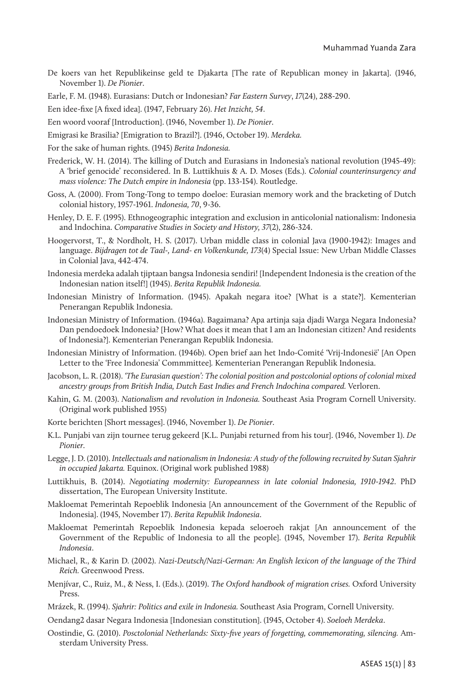De koers van het Republikeinse geld te Djakarta [The rate of Republican money in Jakarta]. (1946, November 1). *De Pionier*.

Earle, F. M. (1948). Eurasians: Dutch or Indonesian? *Far Eastern Survey*, *17*(24), 288-290.

Een idee-fixe [A fixed idea]. (1947, February 26). *Het Inzicht, 54*.

Een woord vooraf [Introduction]. (1946, November 1). *De Pionier*.

- Emigrasi ke Brasilia? [Emigration to Brazil?]. (1946, October 19). *Merdeka.*
- For the sake of human rights. (1945) *Berita Indonesia.*
- Frederick, W. H. (2014). The killing of Dutch and Eurasians in Indonesia's national revolution (1945-49): A 'brief genocide' reconsidered. In B. Luttikhuis & A. D. Moses (Eds.). *Colonial counterinsurgency and mass violence: The Dutch empire in Indonesia* (pp. 133-154). Routledge.
- Goss, A. (2000). From Tong-Tong to tempo doeloe: Eurasian memory work and the bracketing of Dutch colonial history, 1957-1961. *Indonesia, 70*, 9-36.
- Henley, D. E. F. (1995). Ethnogeographic integration and exclusion in anticolonial nationalism: Indonesia and Indochina. *Comparative Studies in Society and History, 37*(2), 286-324.
- Hoogervorst, T., & Nordholt, H. S. (2017). Urban middle class in colonial Java (1900-1942): Images and language. *Bijdragen tot de Taal-, Land- en Volkenkunde, 173*(4) Special Issue: New Urban Middle Classes in Colonial Java, 442-474.
- Indonesia merdeka adalah tjiptaan bangsa Indonesia sendiri! [Independent Indonesia is the creation of the Indonesian nation itself!] (1945). *Berita Republik Indonesia.*
- Indonesian Ministry of Information. (1945). Apakah negara itoe? [What is a state?]. Kementerian Penerangan Republik Indonesia.
- Indonesian Ministry of Information. (1946a). Bagaimana? Apa artinja saja djadi Warga Negara Indonesia? Dan pendoedoek Indonesia? [How? What does it mean that I am an Indonesian citizen? And residents of Indonesia?]. Kementerian Penerangan Republik Indonesia.
- Indonesian Ministry of Information. (1946b). Open brief aan het Indo-Comité 'Vrij-Indonesië' [An Open Letter to the 'Free Indonesia' Commmittee]*.* Kementerian Penerangan Republik Indonesia.
- Jacobson, L. R. (2018). *'The Eurasian question': The colonial position and postcolonial options of colonial mixed ancestry groups from British India, Dutch East Indies and French Indochina compared.* Verloren.
- Kahin, G. M. (2003). *Nationalism and revolution in Indonesia.* Southeast Asia Program Cornell University. (Original work published 1955)
- Korte berichten [Short messages]. (1946, November 1). *De Pionier*.
- K.L. Punjabi van zijn tournee terug gekeerd [K.L. Punjabi returned from his tour]. (1946, November 1). *De Pionier*.
- Legge, J. D. (2010). *Intellectuals and nationalism in Indonesia: A study of the following recruited by Sutan Sjahrir in occupied Jakarta.* Equinox. (Original work published 1988)
- Luttikhuis, B. (2014). *Negotiating modernity: Europeanness in late colonial Indonesia, 1910-1942*. PhD dissertation, The European University Institute.
- Makloemat Pemerintah Repoeblik Indonesia [An announcement of the Government of the Republic of Indonesia]. (1945, November 17). *Berita Republik Indonesia*.
- Makloemat Pemerintah Repoeblik Indonesia kepada seloeroeh rakjat [An announcement of the Government of the Republic of Indonesia to all the people]. (1945, November 17). *Berita Republik Indonesia*.
- Michael, R., & Karin D. (2002). *Nazi-Deutsch/Nazi-German: An English lexicon of the language of the Third Reich.* Greenwood Press.
- Menjívar, C., Ruiz, M., & Ness, I. (Eds.). (2019). *The Oxford handbook of migration crises.* Oxford University Press.
- Mrázek, R. (1994). *Sjahrir: Politics and exile in Indonesia.* Southeast Asia Program, Cornell University.
- Oendang2 dasar Negara Indonesia [Indonesian constitution]. (1945, October 4). *Soeloeh Merdeka*.
- Oostindie, G. (2010). *Posctolonial Netherlands: Sixty-five years of forgetting, commemorating, silencing.* Amsterdam University Press.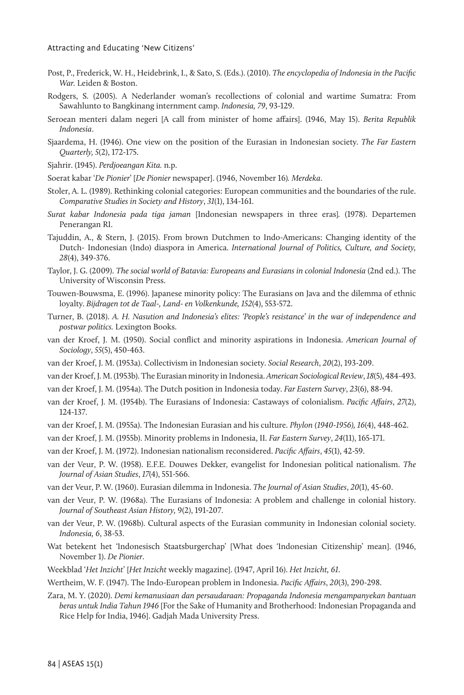- Post, P., Frederick, W. H., Heidebrink, I., & Sato, S. (Eds.). (2010). *The encyclopedia of Indonesia in the Pacific War.* Leiden & Boston.
- Rodgers, S. (2005). A Nederlander woman's recollections of colonial and wartime Sumatra: From Sawahlunto to Bangkinang internment camp. *Indonesia, 79*, 93-129.
- Seroean menteri dalam negeri [A call from minister of home affairs]. (1946, May 15). *Berita Republik Indonesia*.
- Sjaardema, H. (1946). One view on the position of the Eurasian in Indonesian society. *The Far Eastern Quarterly, 5*(2), 172-175.
- Sjahrir. (1945). *Perdjoeangan Kita.* n.p.
- Soerat kabar '*De Pionier*' [*De Pionier* newspaper]. (1946, November 16)*. Merdeka*.
- Stoler, A. L. (1989). Rethinking colonial categories: European communities and the boundaries of the rule. *Comparative Studies in Society and History*, *31*(1), 134-161.
- *Surat kabar Indonesia pada tiga jaman* [Indonesian newspapers in three eras]*.* (1978). Departemen Penerangan RI.
- Tajuddin, A., & Stern, J. (2015). From brown Dutchmen to Indo-Americans: Changing identity of the Dutch- Indonesian (Indo) diaspora in America. *International Journal of Politics, Culture, and Society, 28*(4), 349-376.
- Taylor, J. G. (2009). *The social world of Batavia: Europeans and Eurasians in colonial Indonesia* (2nd ed.). The University of Wisconsin Press.
- Touwen-Bouwsma, E. (1996). Japanese minority policy: The Eurasians on Java and the dilemma of ethnic loyalty. *Bijdragen tot de Taal-, Land- en Volkenkunde, 152*(4), 553-572.
- Turner, B. (2018). *A. H. Nasution and Indonesia's elites: 'People's resistance' in the war of independence and postwar politics.* Lexington Books.
- van der Kroef, J. M. (1950). Social conflict and minority aspirations in Indonesia. *American Journal of Sociology*, *55*(5), 450-463.
- van der Kroef, J. M. (1953a). Collectivism in Indonesian society. *Social Research*, *20*(2), 193-209.
- van der Kroef, J. M. (1953b). The Eurasian minority in Indonesia. *American Sociological Review*, *18*(5), 484-493.
- van der Kroef, J. M. (1954a). The Dutch position in Indonesia today. *Far Eastern Survey*, *23*(6), 88-94.
- van der Kroef, J. M. (1954b). The Eurasians of Indonesia: Castaways of colonialism. *Pacific Affairs*, *27*(2), 124-137.
- van der Kroef, J. M. (1955a). The Indonesian Eurasian and his culture. *Phylon (1940-1956), 16*(4), 448-462.
- van der Kroef, J. M. (1955b). Minority problems in Indonesia, II. *Far Eastern Survey*, *24*(11), 165-171.
- van der Kroef, J. M. (1972). Indonesian nationalism reconsidered. *Pacific Affairs*, *45*(1), 42-59.
- van der Veur, P. W. (1958). E.F.E. Douwes Dekker, evangelist for Indonesian political nationalism. *The Journal of Asian Studies*, *17*(4), 551-566.
- van der Veur, P. W. (1960). Eurasian dilemma in Indonesia. *The Journal of Asian Studies*, *20*(1), 45-60.
- van der Veur, P. W. (1968a). The Eurasians of Indonesia: A problem and challenge in colonial history. *Journal of Southeast Asian History,* 9(2), 191-207.
- van der Veur, P. W. (1968b). Cultural aspects of the Eurasian community in Indonesian colonial society. *Indonesia, 6*, 38-53.
- Wat betekent het 'Indonesisch Staatsburgerchap' [What does 'Indonesian Citizenship' mean]. (1946, November 1). *De Pionier*.
- Weekblad '*Het Inzicht*' [*Het Inzicht* weekly magazine]. (1947, April 16). *Het Inzicht, 61*.
- Wertheim, W. F. (1947). The Indo-European problem in Indonesia. *Pacific Affairs*, *20*(3), 290-298.
- Zara, M. Y. (2020). *Demi kemanusiaan dan persaudaraan: Propaganda Indonesia mengampanyekan bantuan beras untuk India Tahun 1946* [For the Sake of Humanity and Brotherhood: Indonesian Propaganda and Rice Help for India, 1946]. Gadjah Mada University Press.